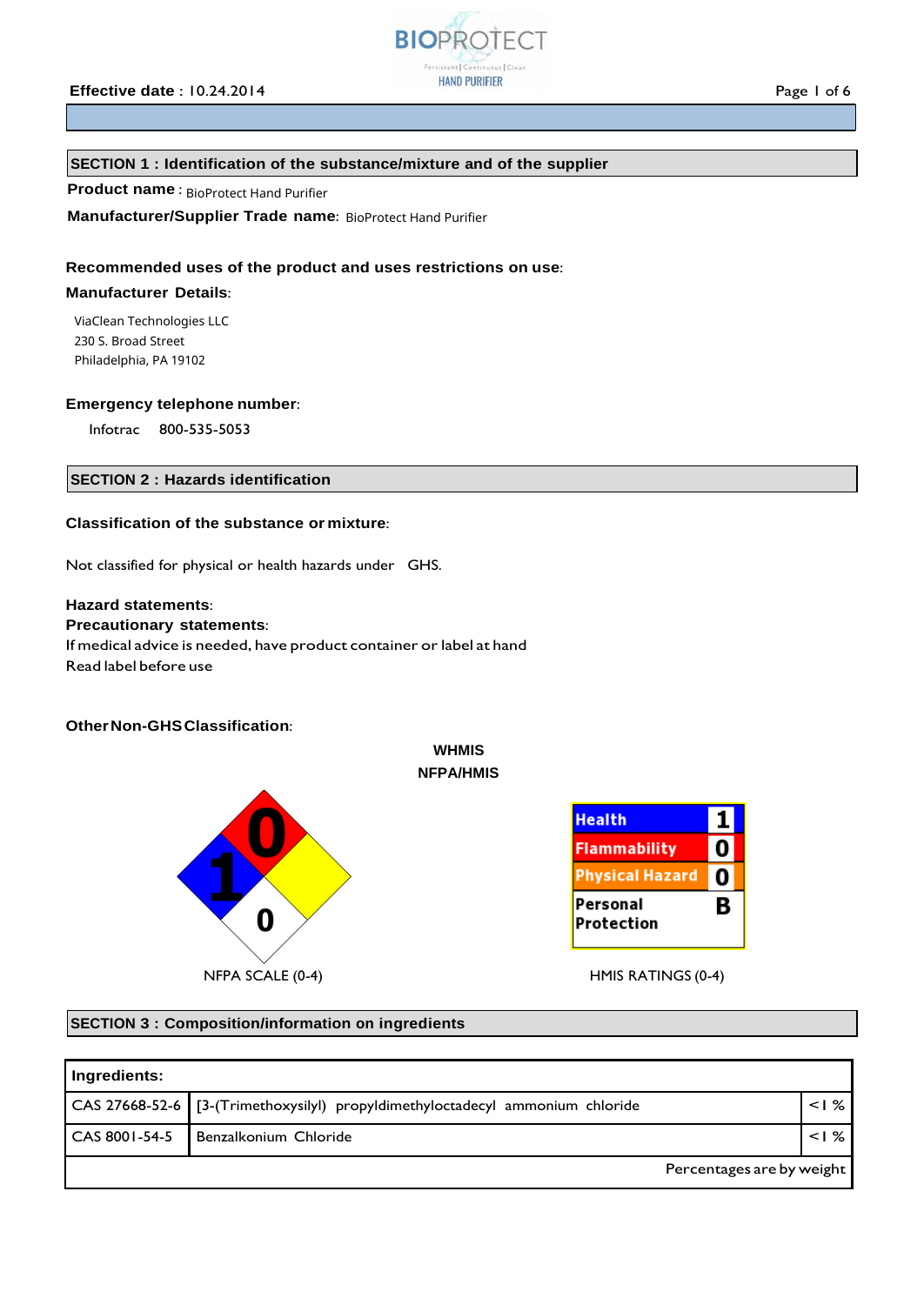

# **Effective date** : 10.24.2014 **Page 1 of 6 Page 1 of 6**

# **SECTION 1 : Identification of the substance/mixture and of the supplier**

# **Product name**: BioProtect Hand Purifier

**Manufacturer/Supplier Trade name:** BioProtect Hand Purifier

# **Recommended uses of the product and uses restrictions on use**:

# **Manufacturer Details**:

ViaClean Technologies LLC 230 S. Broad Street Philadelphia, PA 19102

## **Emergency telephone number**:

Infotrac 800-535-5053

# **SECTION 2 : Hazards identification**

# **Classification of the substance or mixture**:

Not classified for physical or health hazards under GHS.

# **Hazard statements**:

# **Precautionary statements**:

If medical advice is needed, have product container or label at hand Read label before use

# **OtherNon-GHSClassification**:



#### $\mathbf{1}$ **Health Flammability** 0 **Physical Hazard** 0 Personal В Protection

# **SECTION 3 : Composition/information on ingredients**

| Ingredients:              |                                                                               |  |         |
|---------------------------|-------------------------------------------------------------------------------|--|---------|
|                           | CAS 27668-52-6 [3-(Trimethoxysilyl) propyldimethyloctadecyl ammonium chloride |  | $<$   % |
| CAS 8001-54-5             | Benzalkonium Chloride                                                         |  | < 1%    |
| Percentages are by weight |                                                                               |  |         |

**WHMIS NFPA/HMIS**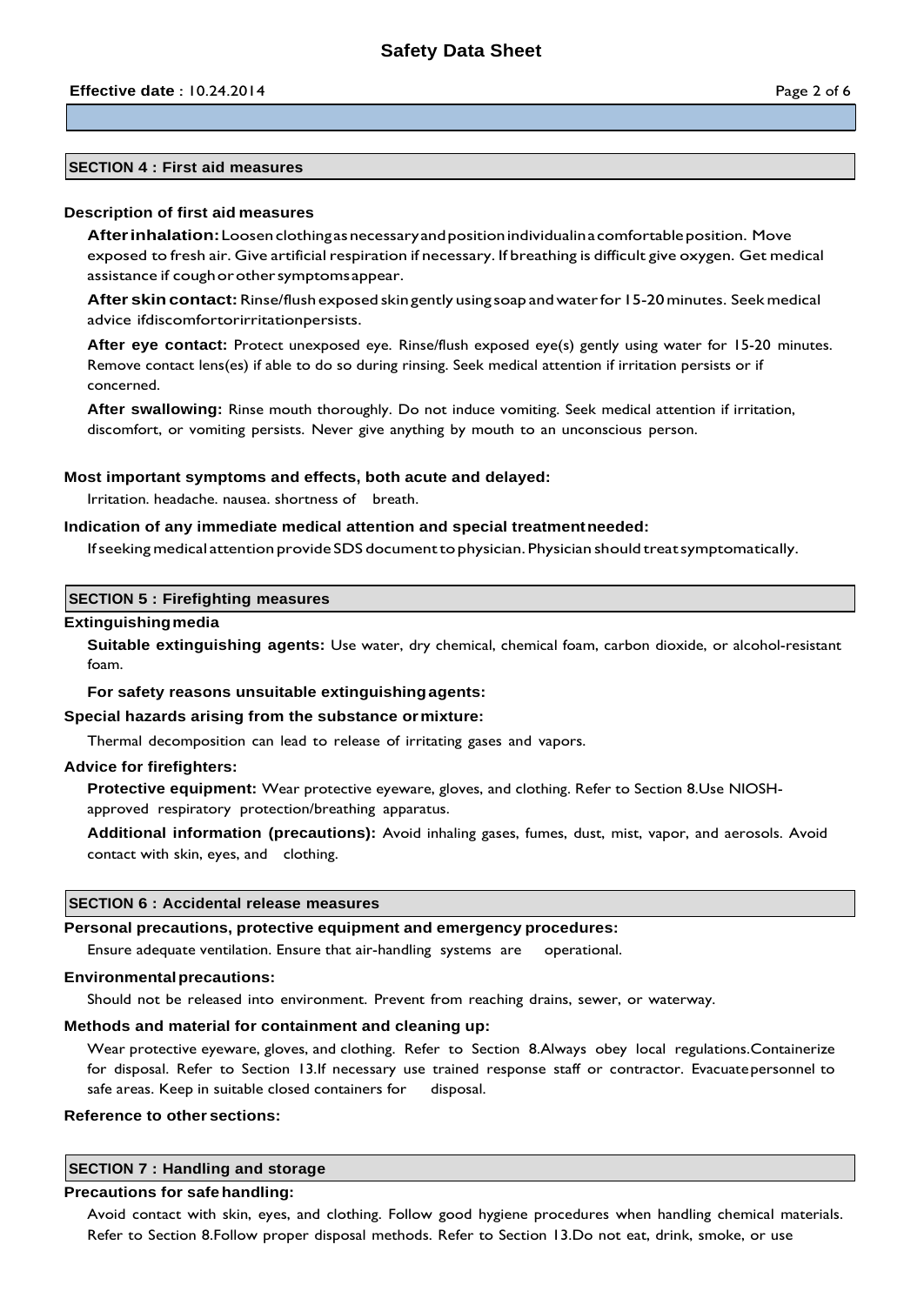# **SECTION 4 : First aid measures**

## **Description of first aid measures**

**Afterinhalation:**Loosenclothingasnecessaryandpositionindividualinacomfortableposition. Move exposed to fresh air. Give artificial respiration if necessary. If breathing is difficult give oxygen. Get medical assistance if cough or other symptoms appear.

**After skincontact:**Rinse/flush exposed skin gently using soap andwaterfor15-20minutes. Seekmedical advice ifdiscomfortorirritationpersists.

**After eye contact:** Protect unexposed eye. Rinse/flush exposed eye(s) gently using water for 15-20 minutes. Remove contact lens(es) if able to do so during rinsing. Seek medical attention if irritation persists or if concerned.

**After swallowing:** Rinse mouth thoroughly. Do not induce vomiting. Seek medical attention if irritation, discomfort, or vomiting persists. Never give anything by mouth to an unconscious person.

## **Most important symptoms and effects, both acute and delayed:**

Irritation. headache. nausea. shortness of breath.

## **Indication of any immediate medical attention and special treatmentneeded:**

Ifseeking medical attention provide SDS documenttophysician.Physician should treatsymptomatically.

# **SECTION 5 : Firefighting measures**

#### **Extinguishingmedia**

**Suitable extinguishing agents:** Use water, dry chemical, chemical foam, carbon dioxide, or alcohol-resistant foam.

#### **For safety reasons unsuitable extinguishingagents:**

#### **Special hazards arising from the substance ormixture:**

Thermal decomposition can lead to release of irritating gases and vapors.

## **Advice for firefighters:**

**Protective equipment:** Wear protective eyeware, gloves, and clothing. Refer to Section 8.Use NIOSHapproved respiratory protection/breathing apparatus.

**Additional information (precautions):** Avoid inhaling gases, fumes, dust, mist, vapor, and aerosols. Avoid contact with skin, eyes, and clothing.

#### **SECTION 6 : Accidental release measures**

# **Personal precautions, protective equipment and emergency procedures:**

Ensure adequate ventilation. Ensure that air-handling systems are operational.

#### **Environmentalprecautions:**

Should not be released into environment. Prevent from reaching drains, sewer, or waterway.

## **Methods and material for containment and cleaning up:**

Wear protective eyeware, gloves, and clothing. Refer to Section 8.Always obey local regulations.Containerize for disposal. Refer to Section 13.If necessary use trained response staff or contractor. Evacuatepersonnel to safe areas. Keep in suitable closed containers for disposal.

#### **Reference to other sections:**

# **SECTION 7 : Handling and storage**

# **Precautions for safehandling:**

Avoid contact with skin, eyes, and clothing. Follow good hygiene procedures when handling chemical materials. Refer to Section 8.Follow proper disposal methods. Refer to Section 13.Do not eat, drink, smoke, or use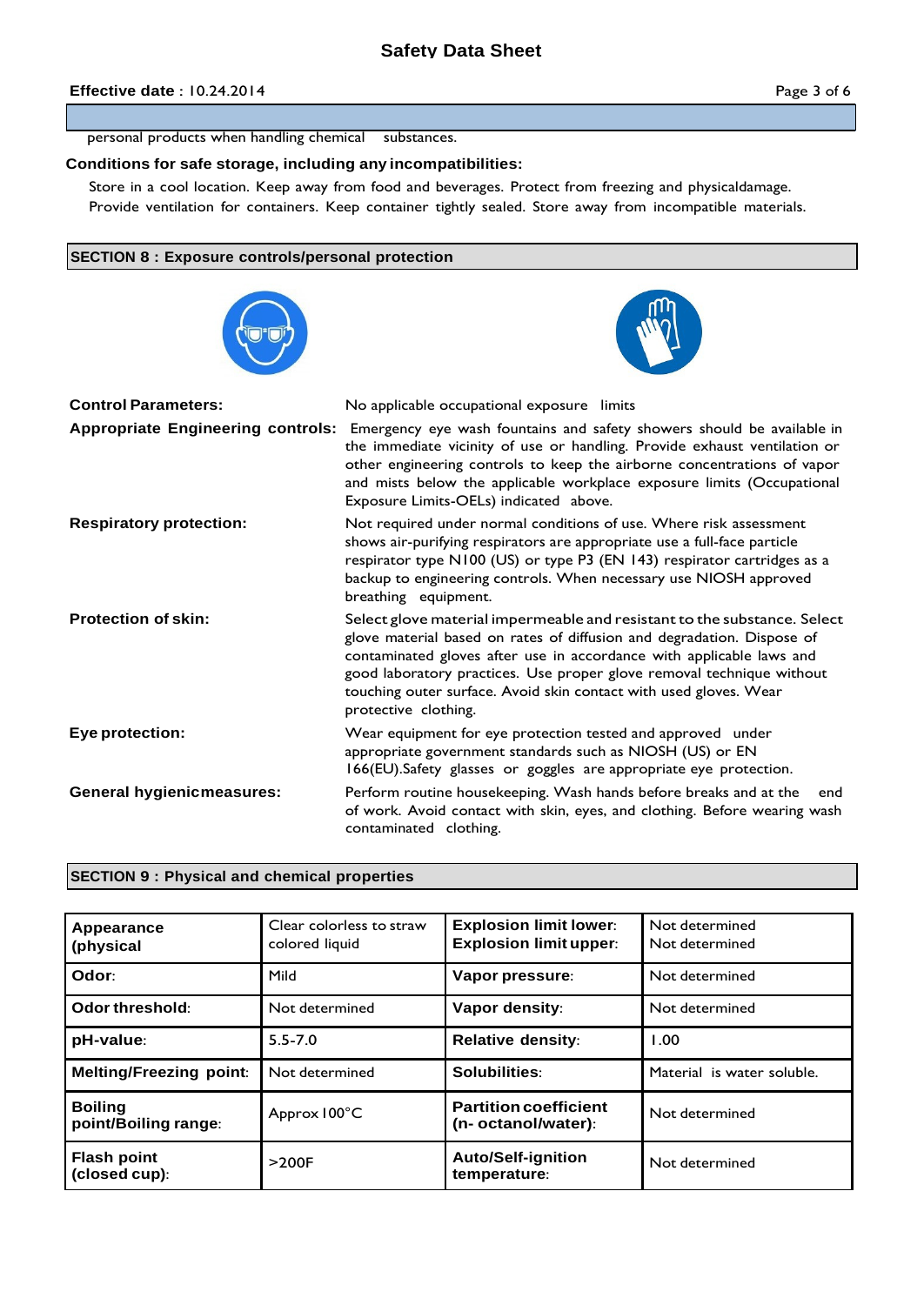# **Effective date** : 10.24.2014 **Page 3 of 6**

personal products when handling chemical substances.

# **Conditions for safe storage, including any incompatibilities:**

Store in a cool location. Keep away from food and beverages. Protect from freezing and physicaldamage. Provide ventilation for containers. Keep container tightly sealed. Store away from incompatible materials.

# **SECTION 8 : Exposure controls/personal protection**





| <b>Control Parameters:</b>               | No applicable occupational exposure limits                                                                                                                                                                                                                                                                                                                                                       |
|------------------------------------------|--------------------------------------------------------------------------------------------------------------------------------------------------------------------------------------------------------------------------------------------------------------------------------------------------------------------------------------------------------------------------------------------------|
| <b>Appropriate Engineering controls:</b> | Emergency eye wash fountains and safety showers should be available in<br>the immediate vicinity of use or handling. Provide exhaust ventilation or<br>other engineering controls to keep the airborne concentrations of vapor<br>and mists below the applicable workplace exposure limits (Occupational<br>Exposure Limits-OELs) indicated above.                                               |
| <b>Respiratory protection:</b>           | Not required under normal conditions of use. Where risk assessment<br>shows air-purifying respirators are appropriate use a full-face particle<br>respirator type N100 (US) or type P3 (EN 143) respirator cartridges as a<br>backup to engineering controls. When necessary use NIOSH approved<br>breathing equipment.                                                                          |
| <b>Protection of skin:</b>               | Select glove material impermeable and resistant to the substance. Select<br>glove material based on rates of diffusion and degradation. Dispose of<br>contaminated gloves after use in accordance with applicable laws and<br>good laboratory practices. Use proper glove removal technique without<br>touching outer surface. Avoid skin contact with used gloves. Wear<br>protective clothing. |
| Eye protection:                          | Wear equipment for eye protection tested and approved under<br>appropriate government standards such as NIOSH (US) or EN<br>166(EU).Safety glasses or goggles are appropriate eye protection.                                                                                                                                                                                                    |
| <b>General hygienicmeasures:</b>         | Perform routine housekeeping. Wash hands before breaks and at the<br>end<br>of work. Avoid contact with skin, eyes, and clothing. Before wearing wash<br>contaminated clothing.                                                                                                                                                                                                                  |

# **SECTION 9 : Physical and chemical properties**

| Appearance<br>(physical                | Clear colorless to straw<br>colored liquid | <b>Explosion limit lower:</b><br><b>Explosion limit upper:</b> | Not determined<br>Not determined |
|----------------------------------------|--------------------------------------------|----------------------------------------------------------------|----------------------------------|
| Odor:                                  | Mild                                       | Vapor pressure:                                                | Not determined                   |
| Odor threshold:                        | Not determined                             | Vapor density:                                                 | Not determined                   |
| pH-value:                              | $5.5 - 7.0$                                | <b>Relative density:</b>                                       | 1.00                             |
| <b>Melting/Freezing point:</b>         | Not determined                             | Solubilities:                                                  | Material is water soluble.       |
| <b>Boiling</b><br>point/Boiling range: | Approx 100°C                               | <b>Partition coefficient</b><br>(n- octanol/water):            | Not determined                   |
| <b>Flash point</b><br>(closed cup):    | >200F                                      | <b>Auto/Self-ignition</b><br>temperature:                      | Not determined                   |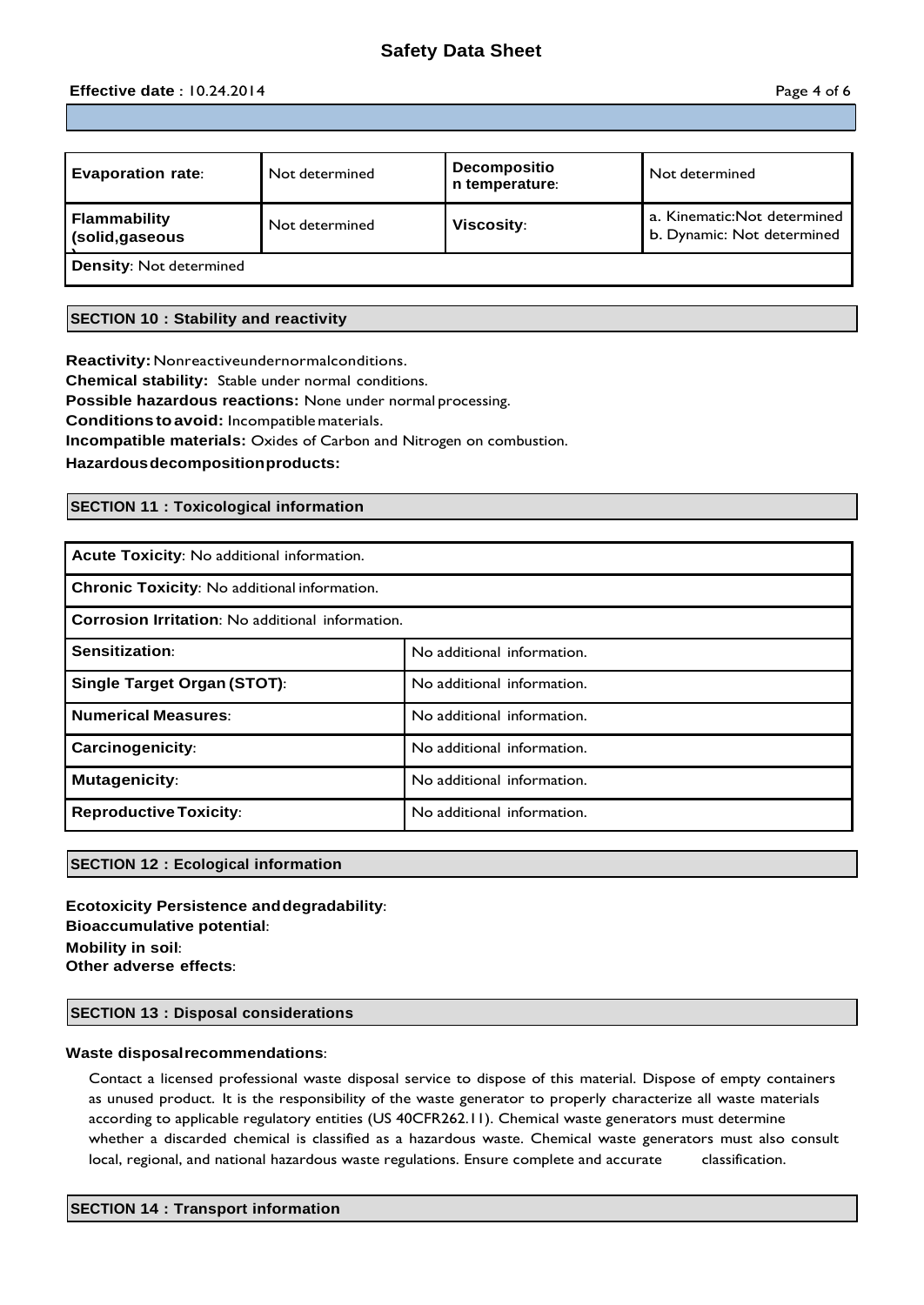# **Safety Data Sheet**

# **Effective date** : 10.24.2014 **Page 4 of 6**

| <b>Evaporation rate:</b>               | Not determined | <b>Decompositio</b><br>n temperature: | Not determined                                             |
|----------------------------------------|----------------|---------------------------------------|------------------------------------------------------------|
| <b>Flammability</b><br>(solid, gaseous | Not determined | <b>Viscosity:</b>                     | a. Kinematic: Not determined<br>b. Dynamic: Not determined |
| <b>Density: Not determined</b>         |                |                                       |                                                            |

# **SECTION 10 : Stability and reactivity**

**Reactivity:**Nonreactiveundernormalconditions. **Chemical stability:** Stable under normal conditions. **Possible hazardous reactions:** None under normal processing. **Conditionstoavoid:** Incompatiblematerials. **Incompatible materials:** Oxides of Carbon and Nitrogen on combustion.

**Hazardousdecompositionproducts:**

# **SECTION 11 : Toxicological information**

| Acute Toxicity: No additional information.              |                            |  |  |  |
|---------------------------------------------------------|----------------------------|--|--|--|
| Chronic Toxicity: No additional information.            |                            |  |  |  |
| <b>Corrosion Irritation:</b> No additional information. |                            |  |  |  |
| Sensitization:                                          | No additional information. |  |  |  |
| Single Target Organ (STOT):                             | No additional information. |  |  |  |
| <b>Numerical Measures:</b>                              | No additional information. |  |  |  |
| Carcinogenicity:                                        | No additional information. |  |  |  |
| <b>Mutagenicity:</b>                                    | No additional information. |  |  |  |
| <b>Reproductive Toxicity:</b>                           | No additional information. |  |  |  |

# **SECTION 12 : Ecological information**

**Ecotoxicity Persistence anddegradability**: **Bioaccumulative potential**: **Mobility in soil**: **Other adverse effects**:

# **SECTION 13 : Disposal considerations**

## **Waste disposalrecommendations**:

Contact a licensed professional waste disposal service to dispose of this material. Dispose of empty containers as unused product. It is the responsibility of the waste generator to properly characterize all waste materials according to applicable regulatory entities (US 40CFR262.11). Chemical waste generators must determine whether a discarded chemical is classified as a hazardous waste. Chemical waste generators must also consult local, regional, and national hazardous waste regulations. Ensure complete and accurate classification.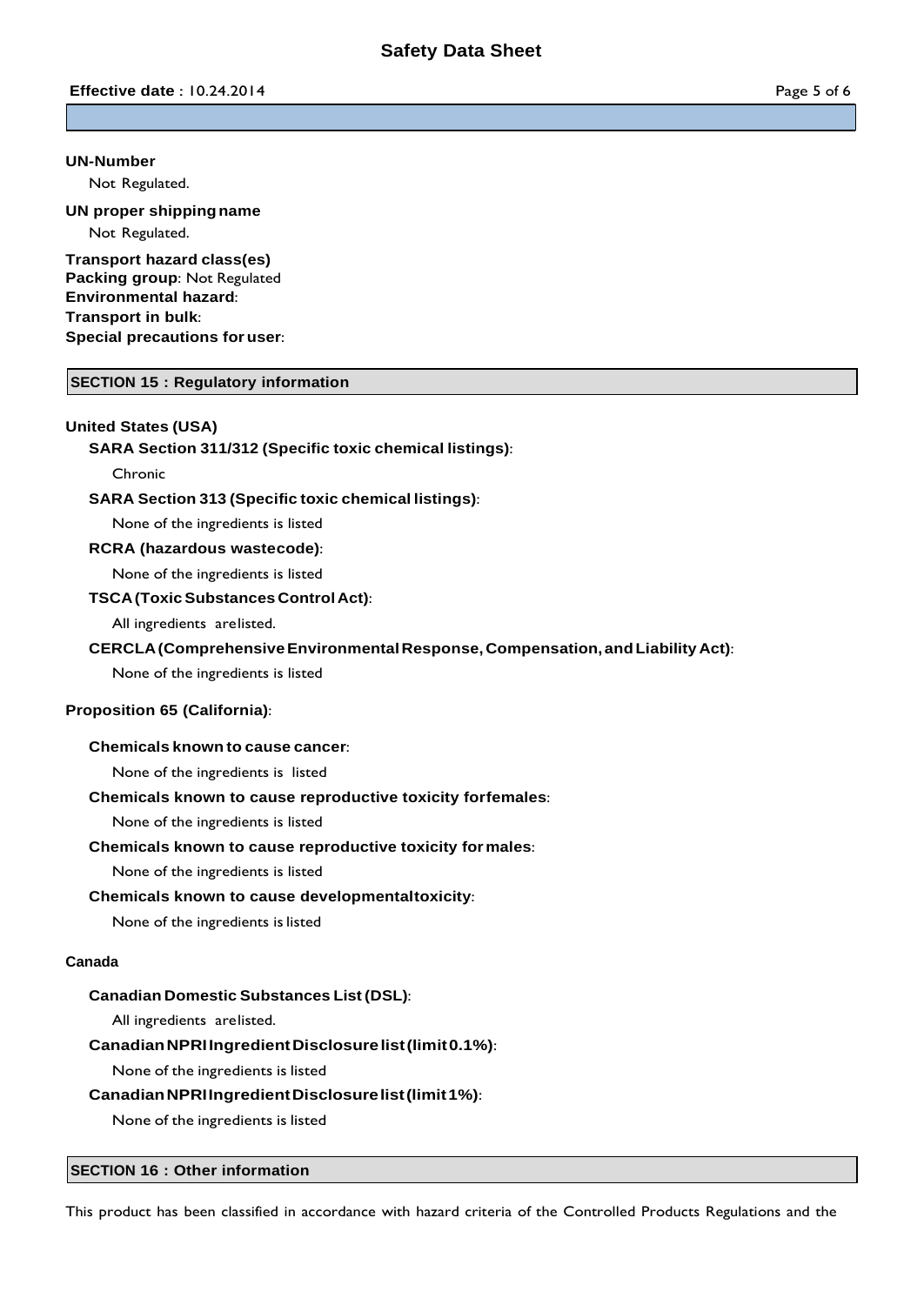## **UN-Number**

Not Regulated.

# **UN proper shippingname**

Not Regulated.

**Transport hazard class(es) Packing group**: Not Regulated **Environmental hazard**: **Transport in bulk**: **Special precautions for user**:

# **SECTION 15 : Regulatory information**

# **United States (USA)**

# **SARA Section 311/312 (Specific toxic chemical listings)**:

# Chronic

# **SARA Section 313 (Specific toxic chemical listings)**:

None of the ingredients is listed

# **RCRA (hazardous wastecode)**:

None of the ingredients is listed

## **TSCA(ToxicSubstances ControlAct)**:

All ingredients arelisted.

# **CERCLA(ComprehensiveEnvironmentalResponse, Compensation, andLiability Act)**:

None of the ingredients is listed

# **Proposition 65 (California)**:

# **Chemicals known to cause cancer**:

None of the ingredients is listed

# **Chemicals known to cause reproductive toxicity forfemales**:

None of the ingredients is listed

# **Chemicals known to cause reproductive toxicity formales**:

None of the ingredients is listed

# **Chemicals known to cause developmentaltoxicity**:

None of the ingredients is listed

# **Canada**

# **Canadian Domestic Substances List (DSL)**:

All ingredients arelisted.

# **CanadianNPRIIngredientDisclosurelist(limit0.1%)**:

None of the ingredients is listed

# **CanadianNPRIIngredientDisclosurelist(limit1%)**:

None of the ingredients is listed

# **SECTION 16 : Other information**

This product has been classified in accordance with hazard criteria of the Controlled Products Regulations and the